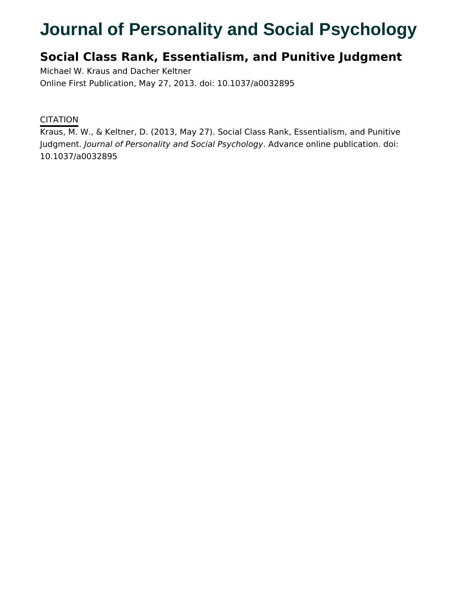# **Journal of Personality and Social Psychology**

# **Social Class Rank, Essentialism, and Punitive Judgment**

Michael W. Kraus and Dacher Keltner Online First Publication, May 27, 2013. doi: 10.1037/a0032895

## CITATION

Kraus, M. W., & Keltner, D. (2013, May 27). Social Class Rank, Essentialism, and Punitive Judgment. Journal of Personality and Social Psychology. Advance online publication. doi: 10.1037/a0032895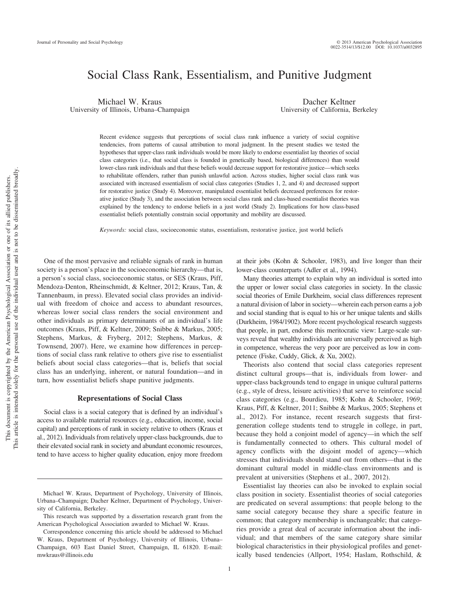# Social Class Rank, Essentialism, and Punitive Judgment

Michael W. Kraus University of Illinois, Urbana–Champaign

Dacher Keltner University of California, Berkeley

Recent evidence suggests that perceptions of social class rank influence a variety of social cognitive tendencies, from patterns of causal attribution to moral judgment. In the present studies we tested the hypotheses that upper-class rank individuals would be more likely to endorse essentialist lay theories of social class categories (i.e., that social class is founded in genetically based, biological differences) than would lower-class rank individuals and that these beliefs would decrease support for restorative justice—which seeks to rehabilitate offenders, rather than punish unlawful action. Across studies, higher social class rank was associated with increased essentialism of social class categories (Studies 1, 2, and 4) and decreased support for restorative justice (Study 4). Moreover, manipulated essentialist beliefs decreased preferences for restorative justice (Study 3), and the association between social class rank and class-based essentialist theories was explained by the tendency to endorse beliefs in a just world (Study 2). Implications for how class-based essentialist beliefs potentially constrain social opportunity and mobility are discussed.

*Keywords:* social class, socioeconomic status, essentialism, restorative justice, just world beliefs

One of the most pervasive and reliable signals of rank in human society is a person's place in the socioeconomic hierarchy—that is, a person's social class, socioeconomic status, or SES (Kraus, Piff, Mendoza-Denton, Rheinschmidt, & Keltner, 2012; Kraus, Tan, & Tannenbaum, in press). Elevated social class provides an individual with freedom of choice and access to abundant resources, whereas lower social class renders the social environment and other individuals as primary determinants of an individual's life outcomes (Kraus, Piff, & Keltner, 2009; Snibbe & Markus, 2005; Stephens, Markus, & Fryberg, 2012; Stephens, Markus, & Townsend, 2007). Here, we examine how differences in perceptions of social class rank relative to others give rise to essentialist beliefs about social class categories—that is, beliefs that social class has an underlying, inherent, or natural foundation—and in turn, how essentialist beliefs shape punitive judgments.

#### **Representations of Social Class**

Social class is a social category that is defined by an individual's access to available material resources (e.g., education, income, social capital) and perceptions of rank in society relative to others (Kraus et al., 2012). Individuals from relatively upper-class backgrounds, due to their elevated social rank in society and abundant economic resources, tend to have access to higher quality education, enjoy more freedom at their jobs (Kohn & Schooler, 1983), and live longer than their lower-class counterparts (Adler et al., 1994).

Many theories attempt to explain why an individual is sorted into the upper or lower social class categories in society. In the classic social theories of Emile Durkheim, social class differences represent a natural division of labor in society—wherein each person earns a job and social standing that is equal to his or her unique talents and skills (Durkheim, 1984/1902). More recent psychological research suggests that people, in part, endorse this meritocratic view: Large-scale surveys reveal that wealthy individuals are universally perceived as high in competence, whereas the very poor are perceived as low in competence (Fiske, Cuddy, Glick, & Xu, 2002).

Theorists also contend that social class categories represent distinct cultural groups—that is, individuals from lower- and upper-class backgrounds tend to engage in unique cultural patterns (e.g., style of dress, leisure activities) that serve to reinforce social class categories (e.g., Bourdieu, 1985; Kohn & Schooler, 1969; Kraus, Piff, & Keltner, 2011; Snibbe & Markus, 2005; Stephens et al., 2012). For instance, recent research suggests that firstgeneration college students tend to struggle in college, in part, because they hold a conjoint model of agency—in which the self is fundamentally connected to others. This cultural model of agency conflicts with the disjoint model of agency—which stresses that individuals should stand out from others—that is the dominant cultural model in middle-class environments and is prevalent at universities (Stephens et al., 2007, 2012).

Essentialist lay theories can also be invoked to explain social class position in society. Essentialist theories of social categories are predicated on several assumptions: that people belong to the same social category because they share a specific feature in common; that category membership is unchangeable; that categories provide a great deal of accurate information about the individual; and that members of the same category share similar biological characteristics in their physiological profiles and genetically based tendencies (Allport, 1954; Haslam, Rothschild, &

Michael W. Kraus, Department of Psychology, University of Illinois, Urbana–Champaign; Dacher Keltner, Department of Psychology, University of California, Berkeley.

This research was supported by a dissertation research grant from the American Psychological Association awarded to Michael W. Kraus.

Correspondence concerning this article should be addressed to Michael W. Kraus, Department of Psychology, University of Illinois, Urbana– Champaign, 603 East Daniel Street, Champaign, IL 61820. E-mail: mwkraus@illinois.edu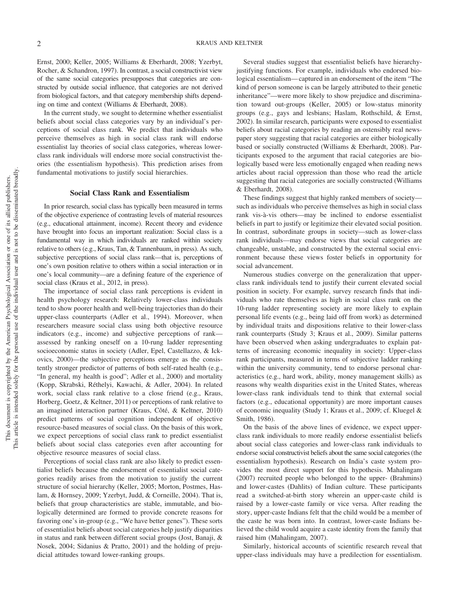Ernst, 2000; Keller, 2005; Williams & Eberhardt, 2008; Yzerbyt, Rocher, & Schandron, 1997). In contrast, a social constructivist view of the same social categories presupposes that categories are constructed by outside social influence, that categories are not derived from biological factors, and that category membership shifts depending on time and context (Williams & Eberhardt, 2008).

In the current study, we sought to determine whether essentialist beliefs about social class categories vary by an individual's perceptions of social class rank. We predict that individuals who perceive themselves as high in social class rank will endorse essentialist lay theories of social class categories, whereas lowerclass rank individuals will endorse more social constructivist theories (the essentialism hypothesis). This prediction arises from fundamental motivations to justify social hierarchies.

#### **Social Class Rank and Essentialism**

In prior research, social class has typically been measured in terms of the objective experience of contrasting levels of material resources (e.g., educational attainment, income). Recent theory and evidence have brought into focus an important realization: Social class is a fundamental way in which individuals are ranked within society relative to others (e.g., Kraus, Tan, & Tannenbaum, in press). As such, subjective perceptions of social class rank—that is, perceptions of one's own position relative to others within a social interaction or in one's local community—are a defining feature of the experience of social class (Kraus et al., 2012, in press).

The importance of social class rank perceptions is evident in health psychology research: Relatively lower-class individuals tend to show poorer health and well-being trajectories than do their upper-class counterparts (Adler et al., 1994). Moreover, when researchers measure social class using both objective resource indicators (e.g., income) and subjective perceptions of rank assessed by ranking oneself on a 10-rung ladder representing socioeconomic status in society (Adler, Epel, Castellazzo, & Ickovics, 2000)—the subjective perceptions emerge as the consistently stronger predictor of patterns of both self-rated health (e.g., "In general, my health is good"; Adler et al., 2000) and mortality (Kopp, Skrabski, Réthelyi, Kawachi, & Adler, 2004). In related work, social class rank relative to a close friend (e.g., Kraus, Horberg, Goetz, & Keltner, 2011) or perceptions of rank relative to an imagined interaction partner (Kraus, Côté, & Keltner, 2010) predict patterns of social cognition independent of objective resource-based measures of social class. On the basis of this work, we expect perceptions of social class rank to predict essentialist beliefs about social class categories even after accounting for objective resource measures of social class.

Perceptions of social class rank are also likely to predict essentialist beliefs because the endorsement of essentialist social categories readily arises from the motivation to justify the current structure of social hierarchy (Keller, 2005; Morton, Postmes, Haslam, & Hornsey, 2009; Yzerbyt, Judd, & Corneille, 2004). That is, beliefs that group characteristics are stable, immutable, and biologically determined are formed to provide concrete reasons for favoring one's in-group (e.g., "We have better genes"). These sorts of essentialist beliefs about social categories help justify disparities in status and rank between different social groups (Jost, Banaji, & Nosek, 2004; Sidanius & Pratto, 2001) and the holding of prejudicial attitudes toward lower-ranking groups.

Several studies suggest that essentialist beliefs have hierarchyjustifying functions. For example, individuals who endorsed biological essentialism— captured in an endorsement of the item "The kind of person someone is can be largely attributed to their genetic inheritance"—were more likely to show prejudice and discrimination toward out-groups (Keller, 2005) or low-status minority groups (e.g., gays and lesbians; Haslam, Rothschild, & Ernst, 2002). In similar research, participants were exposed to essentialist beliefs about racial categories by reading an ostensibly real newspaper story suggesting that racial categories are either biologically based or socially constructed (Williams & Eberhardt, 2008). Participants exposed to the argument that racial categories are biologically based were less emotionally engaged when reading news articles about racial oppression than those who read the article suggesting that racial categories are socially constructed (Williams & Eberhardt, 2008).

These findings suggest that highly ranked members of society such as individuals who perceive themselves as high in social class rank vis-à-vis others—may be inclined to endorse essentialist beliefs in part to justify or legitimize their elevated social position. In contrast, subordinate groups in society—such as lower-class rank individuals—may endorse views that social categories are changeable, unstable, and constructed by the external social environment because these views foster beliefs in opportunity for social advancement.

Numerous studies converge on the generalization that upperclass rank individuals tend to justify their current elevated social position in society. For example, survey research finds that individuals who rate themselves as high in social class rank on the 10-rung ladder representing society are more likely to explain personal life events (e.g., being laid off from work) as determined by individual traits and dispositions relative to their lower-class rank counterparts (Study 3; Kraus et al., 2009). Similar patterns have been observed when asking undergraduates to explain patterns of increasing economic inequality in society: Upper-class rank participants, measured in terms of subjective ladder ranking within the university community, tend to endorse personal characteristics (e.g., hard work, ability, money management skills) as reasons why wealth disparities exist in the United States, whereas lower-class rank individuals tend to think that external social factors (e.g., educational opportunity) are more important causes of economic inequality (Study 1; Kraus et al., 2009; cf. Kluegel & Smith, 1986).

On the basis of the above lines of evidence, we expect upperclass rank individuals to more readily endorse essentialist beliefs about social class categories and lower-class rank individuals to endorse social constructivist beliefs about the same social categories(the essentialism hypothesis). Research on India's caste system provides the most direct support for this hypothesis. Mahalingam (2007) recruited people who belonged to the upper- (Brahmins) and lower-castes (Dahlits) of Indian culture. These participants read a switched-at-birth story wherein an upper-caste child is raised by a lower-caste family or vice versa. After reading the story, upper-caste Indians felt that the child would be a member of the caste he was born into. In contrast, lower-caste Indians believed the child would acquire a caste identity from the family that raised him (Mahalingam, 2007).

Similarly, historical accounts of scientific research reveal that upper-class individuals may have a predilection for essentialism.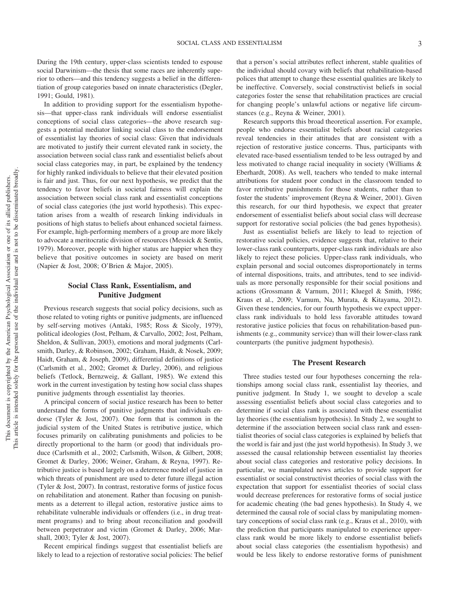During the 19th century, upper-class scientists tended to espouse social Darwinism—the thesis that some races are inherently superior to others—and this tendency suggests a belief in the differentiation of group categories based on innate characteristics (Degler, 1991; Gould, 1981).

In addition to providing support for the essentialism hypothesis—that upper-class rank individuals will endorse essentialist conceptions of social class categories—the above research suggests a potential mediator linking social class to the endorsement of essentialist lay theories of social class: Given that individuals are motivated to justify their current elevated rank in society, the association between social class rank and essentialist beliefs about social class categories may, in part, be explained by the tendency for highly ranked individuals to believe that their elevated position is fair and just. Thus, for our next hypothesis, we predict that the tendency to favor beliefs in societal fairness will explain the association between social class rank and essentialist conceptions of social class categories (the just world hypothesis). This expectation arises from a wealth of research linking individuals in positions of high status to beliefs about enhanced societal fairness. For example, high-performing members of a group are more likely to advocate a meritocratic division of resources (Messick & Sentis, 1979). Moreover, people with higher status are happier when they believe that positive outcomes in society are based on merit (Napier & Jost, 2008; O'Brien & Major, 2005).

#### **Social Class Rank, Essentialism, and Punitive Judgment**

Previous research suggests that social policy decisions, such as those related to voting rights or punitive judgments, are influenced by self-serving motives (Antaki, 1985; Ross & Sicoly, 1979), political ideologies (Jost, Pelham, & Carvallo, 2002; Jost, Pelham, Sheldon, & Sullivan, 2003), emotions and moral judgments (Carlsmith, Darley, & Robinson, 2002; Graham, Haidt, & Nosek, 2009; Haidt, Graham, & Joseph, 2009), differential definitions of justice (Carlsmith et al., 2002; Gromet & Darley, 2006), and religious beliefs (Tetlock, Bernzweig, & Gallant, 1985). We extend this work in the current investigation by testing how social class shapes punitive judgments through essentialist lay theories.

A principal concern of social justice research has been to better understand the forms of punitive judgments that individuals endorse (Tyler & Jost, 2007). One form that is common in the judicial system of the United States is retributive justice, which focuses primarily on calibrating punishments and policies to be directly proportional to the harm (or good) that individuals produce (Carlsmith et al., 2002; Carlsmith, Wilson, & Gilbert, 2008; Gromet & Darley, 2006; Weiner, Graham, & Reyna, 1997). Retributive justice is based largely on a deterrence model of justice in which threats of punishment are used to deter future illegal action (Tyler & Jost, 2007). In contrast, restorative forms of justice focus on rehabilitation and atonement. Rather than focusing on punishments as a deterrent to illegal action, restorative justice aims to rehabilitate vulnerable individuals or offenders (i.e., in drug treatment programs) and to bring about reconciliation and goodwill between perpetrator and victim (Gromet & Darley, 2006; Marshall, 2003; Tyler & Jost, 2007).

Recent empirical findings suggest that essentialist beliefs are likely to lead to a rejection of restorative social policies: The belief that a person's social attributes reflect inherent, stable qualities of the individual should covary with beliefs that rehabilitation-based polices that attempt to change these essential qualities are likely to be ineffective. Conversely, social constructivist beliefs in social categories foster the sense that rehabilitation practices are crucial for changing people's unlawful actions or negative life circumstances (e.g., Reyna & Weiner, 2001).

Research supports this broad theoretical assertion. For example, people who endorse essentialist beliefs about racial categories reveal tendencies in their attitudes that are consistent with a rejection of restorative justice concerns. Thus, participants with elevated race-based essentialism tended to be less outraged by and less motivated to change racial inequality in society (Williams & Eberhardt, 2008). As well, teachers who tended to make internal attributions for student poor conduct in the classroom tended to favor retributive punishments for those students, rather than to foster the students' improvement (Reyna & Weiner, 2001). Given this research, for our third hypothesis, we expect that greater endorsement of essentialist beliefs about social class will decrease support for restorative social policies (the bad genes hypothesis).

Just as essentialist beliefs are likely to lead to rejection of restorative social policies, evidence suggests that, relative to their lower-class rank counterparts, upper-class rank individuals are also likely to reject these policies. Upper-class rank individuals, who explain personal and social outcomes disproportionately in terms of internal dispositions, traits, and attributes, tend to see individuals as more personally responsible for their social positions and actions (Grossmann & Varnum, 2011; Kluegel & Smith, 1986; Kraus et al., 2009; Varnum, Na, Murata, & Kitayama, 2012). Given these tendencies, for our fourth hypothesis we expect upperclass rank individuals to hold less favorable attitudes toward restorative justice policies that focus on rehabilitation-based punishments (e.g., community service) than will their lower-class rank counterparts (the punitive judgment hypothesis).

#### **The Present Research**

Three studies tested our four hypotheses concerning the relationships among social class rank, essentialist lay theories, and punitive judgment. In Study 1, we sought to develop a scale assessing essentialist beliefs about social class categories and to determine if social class rank is associated with these essentialist lay theories (the essentialism hypothesis). In Study 2, we sought to determine if the association between social class rank and essentialist theories of social class categories is explained by beliefs that the world is fair and just (the just world hypothesis). In Study 3, we assessed the causal relationship between essentialist lay theories about social class categories and restorative policy decisions. In particular, we manipulated news articles to provide support for essentialist or social constructivist theories of social class with the expectation that support for essentialist theories of social class would decrease preferences for restorative forms of social justice for academic cheating (the bad genes hypothesis). In Study 4, we determined the causal role of social class by manipulating momentary conceptions of social class rank (e.g., Kraus et al., 2010), with the prediction that participants manipulated to experience upperclass rank would be more likely to endorse essentialist beliefs about social class categories (the essentialism hypothesis) and would be less likely to endorse restorative forms of punishment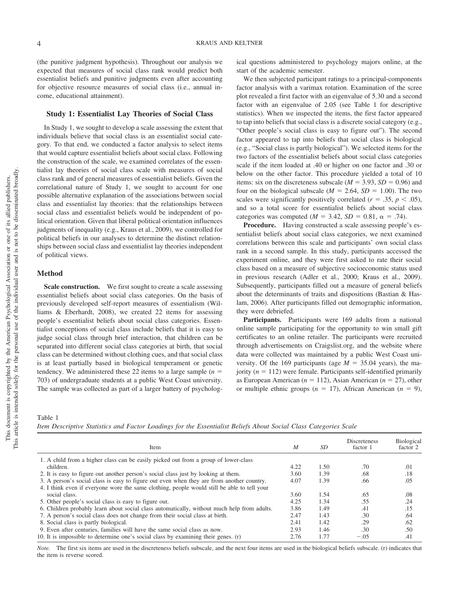(the punitive judgment hypothesis). Throughout our analysis we expected that measures of social class rank would predict both essentialist beliefs and punitive judgments even after accounting for objective resource measures of social class (i.e., annual income, educational attainment).

#### **Study 1: Essentialist Lay Theories of Social Class**

In Study 1, we sought to develop a scale assessing the extent that individuals believe that social class is an essentialist social category. To that end, we conducted a factor analysis to select items that would capture essentialist beliefs about social class. Following the construction of the scale, we examined correlates of the essentialist lay theories of social class scale with measures of social class rank and of general measures of essentialist beliefs. Given the correlational nature of Study 1, we sought to account for one possible alternative explanation of the associations between social class and essentialist lay theories: that the relationships between social class and essentialist beliefs would be independent of political orientation. Given that liberal political orientation influences judgments of inequality (e.g., Kraus et al., 2009), we controlled for political beliefs in our analyses to determine the distinct relationships between social class and essentialist lay theories independent of political views.

#### **Method**

**Scale construction.** We first sought to create a scale assessing essentialist beliefs about social class categories. On the basis of previously developed self-report measures of essentialism (Williams & Eberhardt, 2008), we created 22 items for assessing people's essentialist beliefs about social class categories. Essentialist conceptions of social class include beliefs that it is easy to judge social class through brief interaction, that children can be separated into different social class categories at birth, that social class can be determined without clothing cues, and that social class is at least partially based in biological temperament or genetic tendency. We administered these 22 items to a large sample  $(n =$ 703) of undergraduate students at a public West Coast university. The sample was collected as part of a larger battery of psychological questions administered to psychology majors online, at the start of the academic semester.

We then subjected participant ratings to a principal-components factor analysis with a varimax rotation. Examination of the scree plot revealed a first factor with an eigenvalue of 5.30 and a second factor with an eigenvalue of 2.05 (see Table 1 for descriptive statistics). When we inspected the items, the first factor appeared to tap into beliefs that social class is a discrete social category (e.g., "Other people's social class is easy to figure out"). The second factor appeared to tap into beliefs that social class is biological (e.g., "Social class is partly biological"). We selected items for the two factors of the essentialist beliefs about social class categories scale if the item loaded at .40 or higher on one factor and .30 or below on the other factor. This procedure yielded a total of 10 items: six on the discreteness subscale ( $M = 3.93$ ,  $SD = 0.96$ ) and four on the biological subscale ( $M = 2.64$ ,  $SD = 1.00$ ). The two scales were significantly positively correlated ( $r = .35$ ,  $p < .05$ ), and so a total score for essentialist beliefs about social class categories was computed ( $M = 3.42$ ,  $SD = 0.81$ ,  $\alpha = .74$ ).

**Procedure.** Having constructed a scale assessing people's essentialist beliefs about social class categories, we next examined correlations between this scale and participants' own social class rank in a second sample. In this study, participants accessed the experiment online, and they were first asked to rate their social class based on a measure of subjective socioeconomic status used in previous research (Adler et al., 2000; Kraus et al., 2009). Subsequently, participants filled out a measure of general beliefs about the determinants of traits and dispositions (Bastian & Haslam, 2006). After participants filled out demographic information, they were debriefed.

Participants. Participants were 169 adults from a national online sample participating for the opportunity to win small gift certificates to an online retailer. The participants were recruited through advertisements on Craigslist.org, and the website where data were collected was maintained by a public West Coast university. Of the 169 participants (age  $M = 35.04$  years), the majority  $(n = 112)$  were female. Participants self-identified primarily as European American ( $n = 112$ ), Asian American ( $n = 27$ ), other or multiple ethnic groups  $(n = 17)$ , African American  $(n = 9)$ ,

Table 1

*Item Descriptive Statistics and Factor Loadings for the Essentialist Beliefs About Social Class Categories Scale*

| Item                                                                                        | $\boldsymbol{M}$ | SD   | <b>Discreteness</b><br>factor 1 | Biological<br>factor 2 |
|---------------------------------------------------------------------------------------------|------------------|------|---------------------------------|------------------------|
| 1. A child from a higher class can be easily picked out from a group of lower-class         |                  |      |                                 |                        |
| children.                                                                                   | 4.22             | 1.50 | .70                             | .01                    |
| 2. It is easy to figure out another person's social class just by looking at them.          | 3.60             | 1.39 | .68                             | .18                    |
| 3. A person's social class is easy to figure out even when they are from another country.   | 4.07             | 1.39 | .66                             | .05                    |
| 4. I think even if everyone wore the same clothing, people would still be able to tell your |                  |      |                                 |                        |
| social class.                                                                               | 3.60             | 1.54 | .65                             | .08                    |
| 5. Other people's social class is easy to figure out.                                       | 4.25             | 1.34 | .55                             | .24                    |
| 6. Children probably learn about social class automatically, without much help from adults. | 3.86             | 1.49 | .41                             | .15                    |
| 7. A person's social class does not change from their social class at birth.                | 2.47             | 1.43 | .30                             | .64                    |
| 8. Social class is partly biological.                                                       | 2.41             | 1.42 | .29                             | .62                    |
| 9. Even after centuries, families will have the same social class as now.                   | 2.93             | 1.46 | .30                             | .50                    |
| 10. It is impossible to determine one's social class by examining their genes. (r)          | 2.76             | 1.77 | $-.05$                          | .41                    |

*Note.* The first six items are used in the discreteness beliefs subscale, and the next four items are used in the biological beliefs subscale. (r) indicates that the item is reverse scored.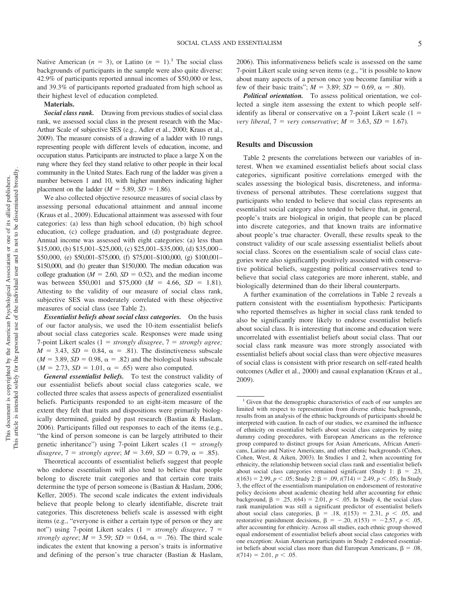Native American ( $n = 3$ ), or Latino ( $n = 1$ ).<sup>1</sup> The social class backgrounds of participants in the sample were also quite diverse: 42.9% of participants reported annual incomes of \$50,000 or less, and 39.3% of participants reported graduated from high school as their highest level of education completed.

#### **Materials.**

*Social class rank.* Drawing from previous studies of social class rank, we assessed social class in the present research with the Mac-Arthur Scale of subjective SES (e.g., Adler et al., 2000; Kraus et al., 2009). The measure consists of a drawing of a ladder with 10 rungs representing people with different levels of education, income, and occupation status. Participants are instructed to place a large X on the rung where they feel they stand relative to other people in their local community in the United States. Each rung of the ladder was given a number between 1 and 10, with higher numbers indicating higher placement on the ladder ( $M = 5.89$ ,  $SD = 1.86$ ).

We also collected objective resource measures of social class by assessing personal educational attainment and annual income (Kraus et al., 2009). Educational attainment was assessed with four categories: (a) less than high school education, (b) high school education, (c) college graduation, and (d) postgraduate degree. Annual income was assessed with eight categories: (a) less than \$15,000, (b) \$15,001–\$25,000, (c) \$25,001–\$35,000, (d) \$35,000 – \$50,000, (e) \$50,001–\$75,000, (f) \$75,001–\$100,000, (g) \$100,001– \$150,000, and (h) greater than \$150,000. The median education was college graduation ( $M = 2.60$ ,  $SD = 0.52$ ), and the median income was between \$50,001 and \$75,000 ( $M = 4.66$ ,  $SD = 1.81$ ). Attesting to the validity of our measure of social class rank, subjective SES was moderately correlated with these objective measures of social class (see Table 2).

*Essentialist beliefs about social class categories.* On the basis of our factor analysis, we used the 10-item essentialist beliefs about social class categories scale. Responses were made using 7-point Likert scales (1 *strongly disagree*, 7 *strongly agree;*  $M = 3.43$ ,  $SD = 0.84$ ,  $\alpha = .81$ ). The distinctiveness subscale  $(M = 3.89, SD = 0.98, \alpha = .82)$  and the biological basis subscale  $(M = 2.73, SD = 1.01, \alpha = .65)$  were also computed.

*General essentialist beliefs.* To test the construct validity of our essentialist beliefs about social class categories scale, we collected three scales that assess aspects of generalized essentialist beliefs. Participants responded to an eight-item measure of the extent they felt that traits and dispositions were primarily biologically determined, guided by past research (Bastian & Haslam, 2006). Participants filled out responses to each of the items (e.g., "the kind of person someone is can be largely attributed to their genetic inheritance") using 7-point Likert scales (1 *strongly disagree*,  $7 =$  *strongly agree*;  $M = 3.69$ ,  $SD = 0.79$ ,  $\alpha = .85$ ).

Theoretical accounts of essentialist beliefs suggest that people who endorse essentialism will also tend to believe that people belong to discrete trait categories and that certain core traits determine the type of person someone is (Bastian & Haslam, 2006; Keller, 2005). The second scale indicates the extent individuals believe that people belong to clearly identifiable, discrete trait categories. This discreteness beliefs scale is assessed with eight items (e.g., "everyone is either a certain type of person or they are not") using 7-point Likert scales (1 = *strongly disagree*, 7 = *strongly agree*;  $M = 3.59$ ;  $SD = 0.64$ ,  $\alpha = .76$ ). The third scale indicates the extent that knowing a person's traits is informative and defining of the person's true character (Bastian & Haslam, 2006). This informativeness beliefs scale is assessed on the same 7-point Likert scale using seven items (e.g., "it is possible to know about many aspects of a person once you become familiar with a few of their basic traits";  $M = 3.89$ ;  $SD = 0.69$ ,  $\alpha = .80$ ).

*Political orientation.* To assess political orientation, we collected a single item assessing the extent to which people selfidentify as liberal or conservative on a 7-point Likert scale  $(1 =$ *very liberal*,  $7 = \text{very conservative}$ ;  $M = 3.63$ ,  $SD = 1.67$ ).

#### **Results and Discussion**

Table 2 presents the correlations between our variables of interest. When we examined essentialist beliefs about social class categories, significant positive correlations emerged with the scales assessing the biological basis, discreteness, and informativeness of personal attributes. These correlations suggest that participants who tended to believe that social class represents an essentialist social category also tended to believe that, in general, people's traits are biological in origin, that people can be placed into discrete categories, and that known traits are informative about people's true character. Overall, these results speak to the construct validity of our scale assessing essentialist beliefs about social class. Scores on the essentialism scale of social class categories were also significantly positively associated with conservative political beliefs, suggesting political conservatives tend to believe that social class categories are more inherent, stable, and biologically determined than do their liberal counterparts.

A further examination of the correlations in Table 2 reveals a pattern consistent with the essentialism hypothesis: Participants who reported themselves as higher in social class rank tended to also be significantly more likely to endorse essentialist beliefs about social class. It is interesting that income and education were uncorrelated with essentialist beliefs about social class. That our social class rank measure was more strongly associated with essentialist beliefs about social class than were objective measures of social class is consistent with prior research on self-rated health outcomes (Adler et al., 2000) and causal explanation (Kraus et al., 2009).

<sup>&</sup>lt;sup>1</sup> Given that the demographic characteristics of each of our samples are limited with respect to representation from diverse ethnic backgrounds, results from an analysis of the ethnic backgrounds of participants should be interpreted with caution. In each of our studies, we examined the influence of ethnicity on essentialist beliefs about social class categories by using dummy coding procedures, with European Americans as the reference group compared to distinct groups for Asian Americans, African Americans, Latino and Native Americans, and other ethnic backgrounds (Cohen, Cohen, West, & Aiken, 2003). In Studies 1 and 2, when accounting for ethnicity, the relationship between social class rank and essentialist beliefs about social class categories remained significant (Study 1:  $\beta = .23$ ,  $t(163) = 2.99, p < .05$ ; Study 2:  $\beta = .09, t(714) = 2.49, p < .05$ ). In Study 3, the effect of the essentialism manipulation on endorsement of restorative policy decisions about academic cheating held after accounting for ethnic background,  $\beta = .25$ ,  $t(64) = 2.01$ ,  $p < .05$ . In Study 4, the social class rank manipulation was still a significant predictor of essentialist beliefs about social class categories,  $\beta$  = .18,  $t(153)$  = 2.31,  $p$  < .05, and restorative punishment decisions,  $\beta = -20$ ,  $t(153) = -2.57$ ,  $p < .05$ , after accounting for ethnicity. Across all studies, each ethnic group showed equal endorsement of essentialist beliefs about social class categories with one exception: Asian American participants in Study 2 endorsed essentialist beliefs about social class more than did European Americans,  $\beta = .08$ ,  $t(714) = 2.01, p < .05.$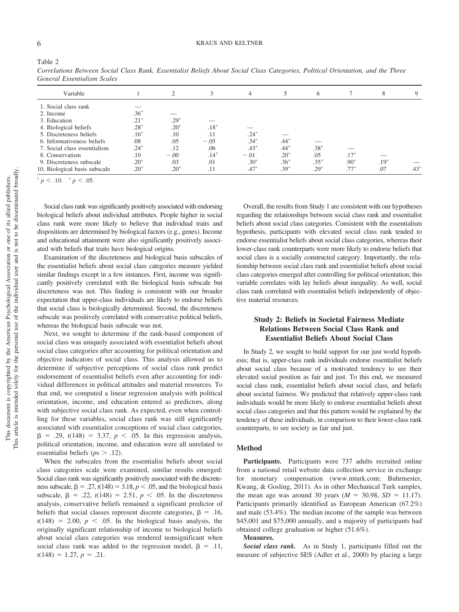#### 6 KRAUS AND KELTNER

|               |                                    | $\mathcal{R}$    | 4       |        | 6      |        | 8      | Q       |
|---------------|------------------------------------|------------------|---------|--------|--------|--------|--------|---------|
|               |                                    |                  |         |        |        |        |        |         |
|               |                                    |                  |         |        |        |        |        |         |
|               |                                    |                  |         |        |        |        |        |         |
|               |                                    |                  |         |        |        |        |        |         |
| $.16*$        | .10                                | .11              | $.24^*$ |        |        |        |        |         |
| .08           | .05                                | $-.05$           | $.34*$  | $.44*$ |        |        |        |         |
| $.24^{\circ}$ | .12                                | .06              | $.43*$  | $.44*$ | $.38*$ |        |        |         |
| .10           | $-.00$                             | $.14^{+}$        | $-.01$  | $.20*$ | .05    | $.17*$ |        |         |
| $.20*$        | .03                                | .01              | $.30*$  | $.36*$ | $.35*$ | $.90*$ | $.19*$ |         |
| $.20*$        | $.20*$                             | .11              | $.47*$  | $.39*$ | $.29*$ | $.77*$ | .07    | $.43^*$ |
|               | $.36*$<br>$.21^*$<br>$.28^{\circ}$ | $.29*$<br>$.20*$ | $.18*$  |        |        |        |        |         |

*Correlations Between Social Class Rank, Essentialist Beliefs About Social Class Categories, Political Orientation, and the Three General Essentialism Scales*

 $\frac{p}{p}$  < .10.  $\frac{p}{p}$  < .05.

Social class rank was significantly positively associated with endorsing biological beliefs about individual attributes. People higher in social class rank were more likely to believe that individual traits and dispositions are determined by biological factors (e.g., genes). Income and educational attainment were also significantly positively associated with beliefs that traits have biological origins.

Examination of the discreteness and biological basis subscales of the essentialist beliefs about social class categories measure yielded similar findings except in a few instances. First, income was significantly positively correlated with the biological basis subscale but discreteness was not. This finding is consistent with our broader expectation that upper-class individuals are likely to endorse beliefs that social class is biologically determined. Second, the discreteness subscale was positively correlated with conservative political beliefs, whereas the biological basis subscale was not.

Next, we sought to determine if the rank-based component of social class was uniquely associated with essentialist beliefs about social class categories after accounting for political orientation and objective indicators of social class. This analysis allowed us to determine if subjective perceptions of social class rank predict endorsement of essentialist beliefs even after accounting for individual differences in political attitudes and material resources. To that end, we computed a linear regression analysis with political orientation, income, and education entered as predictors, along with subjective social class rank. As expected, even when controlling for these variables, social class rank was still significantly associated with essentialist conceptions of social class categories,  $\beta = .29, t(148) = 3.37, p < .05$ . In this regression analysis, political orientation, income, and education were all unrelated to essentialist beliefs ( $p_s > .12$ ).

When the subscales from the essentialist beliefs about social class categories scale were examined, similar results emerged: Social class rank was significantly positively associated with the discreteness subscale,  $\beta = .27$ ,  $t(148) = 3.18$ ,  $p < .05$ , and the biological basis subscale,  $\beta = .22$ ,  $t(148) = 2.51$ ,  $p < .05$ . In the discreteness analysis, conservative beliefs remained a significant predictor of beliefs that social classes represent discrete categories,  $\beta = .16$ ,  $t(148) = 2.00, p < .05$ . In the biological basis analysis, the originally significant relationship of income to biological beliefs about social class categories was rendered nonsignificant when social class rank was added to the regression model,  $\beta = .11$ ,  $t(148) = 1.27, p = .21.$ 

Overall, the results from Study 1 are consistent with our hypotheses regarding the relationships between social class rank and essentialist beliefs about social class categories. Consistent with the essentialism hypothesis, participants with elevated social class rank tended to endorse essentialist beliefs about social class categories, whereas their lower-class rank counterparts were more likely to endorse beliefs that social class is a socially constructed category. Importantly, the relationship between social class rank and essentialist beliefs about social class categories emerged after controlling for political orientation; this variable correlates with lay beliefs about inequality. As well, social class rank correlated with essentialist beliefs independently of objective material resources.

#### **Study 2: Beliefs in Societal Fairness Mediate Relations Between Social Class Rank and Essentialist Beliefs About Social Class**

In Study 2, we sought to build support for our just world hypothesis; that is, upper-class rank individuals endorse essentialist beliefs about social class because of a motivated tendency to see their elevated social position as fair and just. To this end, we measured social class rank, essentialist beliefs about social class, and beliefs about societal fairness. We predicted that relatively upper-class rank individuals would be more likely to endorse essentialist beliefs about social class categories and that this pattern would be explained by the tendency of these individuals, in comparison to their lower-class rank counterparts, to see society as fair and just.

#### **Method**

Participants. Participants were 737 adults recruited online from a national retail website data collection service in exchange for monetary compensation (www.mturk.com; Buhrmester, Kwang, & Gosling, 2011). As in other Mechanical Turk samples, the mean age was around 30 years  $(M = 30.98, SD = 11.17)$ . Participants primarily identified as European American (67.2%) and male (53.4%). The median income of the sample was between \$45,001 and \$75,000 annually, and a majority of participants had obtained college graduation or higher (51.6%).

#### **Measures.**

*Social class rank.* As in Study 1, participants filled out the measure of subjective SES (Adler et al., 2000) by placing a large

Table 2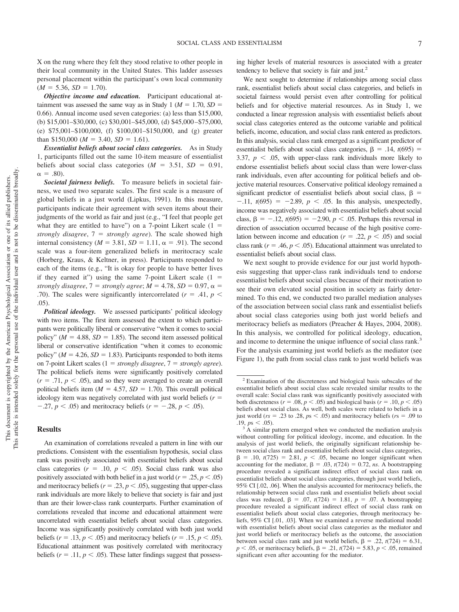X on the rung where they felt they stood relative to other people in their local community in the United States. This ladder assesses personal placement within the participant's own local community  $(M = 5.36, SD = 1.70).$ 

*Objective income and education.* Participant educational attainment was assessed the same way as in Study 1 ( $M = 1.70$ ,  $SD =$ 0.66). Annual income used seven categories: (a) less than \$15,000, (b) \$15,001–\$30,000, (c) \$30,001–\$45,000, (d) \$45,000 –\$75,000, (e) \$75,001–\$100,000, (f) \$100,001–\$150,000, and (g) greater than \$150,000 ( $M = 3.40$ ,  $SD = 1.61$ ).

*Essentialist beliefs about social class categories.* As in Study 1, participants filled out the same 10-item measure of essentialist beliefs about social class categories  $(M = 3.51, SD = 0.91,$  $\alpha = .80$ ).

*Societal fairness beliefs.* To measure beliefs in societal fairness, we used two separate scales. The first scale is a measure of global beliefs in a just world (Lipkus, 1991). In this measure, participants indicate their agreement with seven items about their judgments of the world as fair and just (e.g., "I feel that people get what they are entitled to have") on a 7-point Likert scale  $(1 =$ *strongly disagree*,  $7 =$  *strongly agree*). The scale showed high internal consistency ( $M = 3.81$ ,  $SD = 1.11$ ,  $\alpha = .91$ ). The second scale was a four-item generalized beliefs in meritocracy scale (Horberg, Kraus, & Keltner, in press). Participants responded to each of the items (e.g., "It is okay for people to have better lives if they earned it") using the same 7-point Likert scale  $(1 =$ *strongly disagree*,  $7 =$  *strongly agree*;  $M = 4.78$ ,  $SD = 0.97$ ,  $\alpha =$ .70). The scales were significantly intercorrelated ( $r = .41$ ,  $p <$ .05).

*Political ideology.* We assessed participants' political ideology with two items. The first item assessed the extent to which participants were politically liberal or conservative "when it comes to social policy" ( $M = 4.88$ ,  $SD = 1.85$ ). The second item assessed political liberal or conservative identification "when it comes to economic policy" ( $M = 4.26$ ,  $SD = 1.83$ ). Participants responded to both items on 7-point Likert scales (1 *strongly disagree*, 7 *strongly agree*). The political beliefs items were significantly positively correlated  $(r = .71, p < .05)$ , and so they were averaged to create an overall political beliefs item ( $M = 4.57$ ,  $SD = 1.70$ ). This overall political ideology item was negatively correlated with just world beliefs (*r*  $-0.27, p < .05$ ) and meritocracy beliefs ( $r = -.28, p < .05$ ).

#### **Results**

An examination of correlations revealed a pattern in line with our predictions. Consistent with the essentialism hypothesis, social class rank was positively associated with essentialist beliefs about social class categories  $(r = .10, p < .05)$ . Social class rank was also positively associated with both belief in a just world ( $r = .25, p < .05$ ) and meritocracy beliefs ( $r = .23$ ,  $p < .05$ ), suggesting that upper-class rank individuals are more likely to believe that society is fair and just than are their lower-class rank counterparts. Further examination of correlations revealed that income and educational attainment were uncorrelated with essentialist beliefs about social class categories. Income was significantly positively correlated with both just world beliefs ( $r = .13$ ,  $p < .05$ ) and meritocracy beliefs ( $r = .15$ ,  $p < .05$ ). Educational attainment was positively correlated with meritocracy beliefs ( $r = .11$ ,  $p < .05$ ). These latter findings suggest that possess-

ing higher levels of material resources is associated with a greater tendency to believe that society is fair and just.<sup>2</sup>

We next sought to determine if relationships among social class rank, essentialist beliefs about social class categories, and beliefs in societal fairness would persist even after controlling for political beliefs and for objective material resources. As in Study 1, we conducted a linear regression analysis with essentialist beliefs about social class categories entered as the outcome variable and political beliefs, income, education, and social class rank entered as predictors. In this analysis, social class rank emerged as a significant predictor of essentialist beliefs about social class categories,  $\beta = .14$ ,  $t(695) =$ 3.37,  $p < .05$ , with upper-class rank individuals more likely to endorse essentialist beliefs about social class than were lower-class rank individuals, even after accounting for political beliefs and objective material resources. Conservative political ideology remained a significant predictor of essentialist beliefs about social class,  $\beta$  =  $-0.11$ ,  $t(695) = -2.89$ ,  $p < 0.05$ . In this analysis, unexpectedly, income was negatively associated with essentialist beliefs about social class,  $\beta = -0.12$ ,  $t(695) = -2.90$ ,  $p < 0.05$ . Perhaps this reversal in direction of association occurred because of the high positive correlation between income and education ( $r = .22$ ,  $p < .05$ ) and social class rank ( $r = .46$ ,  $p < .05$ ). Educational attainment was unrelated to essentialist beliefs about social class.

We next sought to provide evidence for our just world hypothesis suggesting that upper-class rank individuals tend to endorse essentialist beliefs about social class because of their motivation to see their own elevated social position in society as fairly determined. To this end, we conducted two parallel mediation analyses of the association between social class rank and essentialist beliefs about social class categories using both just world beliefs and meritocracy beliefs as mediators (Preacher & Hayes, 2004, 2008). In this analysis, we controlled for political ideology, education, and income to determine the unique influence of social class rank.<sup>3</sup> For the analysis examining just world beliefs as the mediator (see Figure 1), the path from social class rank to just world beliefs was

<sup>2</sup> Examination of the discreteness and biological basis subscales of the essentialist beliefs about social class scale revealed similar results to the overall scale: Social class rank was significantly positively associated with both discreteness ( $r = .08$ ,  $p < .05$ ) and biological basis ( $r = .10$ ,  $p < .05$ ) beliefs about social class. As well, both scales were related to beliefs in a just world ( $rs = .23$  to  $.28$ ,  $ps < .05$ ) and meritocracy beliefs ( $rs = .09$  to  $.19, ps < .05$ ).

 $\overline{3}$ <sup>3</sup> A similar pattern emerged when we conducted the mediation analysis without controlling for political ideology, income, and education. In the analysis of just world beliefs, the originally significant relationship between social class rank and essentialist beliefs about social class categories,  $\beta$  = .10,  $t(725)$  = 2.81,  $p < .05$ , became no longer significant when accounting for the mediator,  $\beta = .03$ ,  $t(724) = 0.72$ , *ns*. A bootstrapping procedure revealed a significant indirect effect of social class rank on essentialist beliefs about social class categories, through just world beliefs, 95% CI [.02, .06]. When the analysis accounted for meritocracy beliefs, the relationship between social class rank and essentialist beliefs about social class was reduced,  $\beta$  = .07,  $t(724)$  = 1.81,  $p$  = .07. A bootstrapping procedure revealed a significant indirect effect of social class rank on essentialist beliefs about social class categories, through meritocracy beliefs, 95% CI [.01, .03]. When we examined a reverse mediational model with essentialist beliefs about social class categories as the mediator and just world beliefs or meritocracy beliefs as the outcome, the association between social class rank and just world beliefs,  $\beta = .22$ ,  $t(724) = 6.31$ ,  $p < .05$ , or meritocracy beliefs,  $\beta = .21$ ,  $t(724) = 5.83$ ,  $p < .05$ , remained significant even after accounting for the mediator.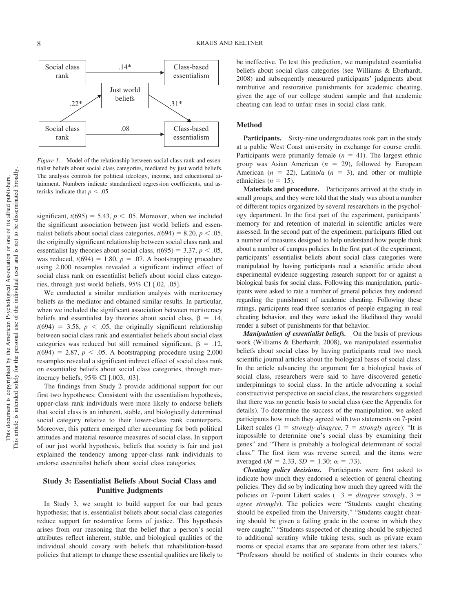

*Figure 1.* Model of the relationship between social class rank and essentialist beliefs about social class categories, mediated by just world beliefs. The analysis controls for political ideology, income, and educational attainment. Numbers indicate standardized regression coefficients, and asterisks indicate that  $p < .05$ .

significant,  $t(695) = 5.43$ ,  $p < .05$ . Moreover, when we included the significant association between just world beliefs and essentialist beliefs about social class categories,  $t(694) = 8.20, p < .05$ , the originally significant relationship between social class rank and essentialist lay theories about social class,  $t(695) = 3.37$ ,  $p < .05$ , was reduced,  $t(694) = 1.80$ ,  $p = .07$ . A bootstrapping procedure using 2,000 resamples revealed a significant indirect effect of social class rank on essentialist beliefs about social class categories, through just world beliefs, 95% CI [.02, .05].

We conducted a similar mediation analysis with meritocracy beliefs as the mediator and obtained similar results. In particular, when we included the significant association between meritocracy beliefs and essentialist lay theories about social class,  $\beta = .14$ ,  $t(694) = 3.58$ ,  $p < .05$ , the originally significant relationship between social class rank and essentialist beliefs about social class categories was reduced but still remained significant,  $\beta = .12$ ,  $t(694) = 2.87, p < .05$ . A bootstrapping procedure using 2,000 resamples revealed a significant indirect effect of social class rank on essentialist beliefs about social class categories, through meritocracy beliefs, 95% CI [.003, .03].

The findings from Study 2 provide additional support for our first two hypotheses: Consistent with the essentialism hypothesis, upper-class rank individuals were more likely to endorse beliefs that social class is an inherent, stable, and biologically determined social category relative to their lower-class rank counterparts. Moreover, this pattern emerged after accounting for both political attitudes and material resource measures of social class. In support of our just world hypothesis, beliefs that society is fair and just explained the tendency among upper-class rank individuals to endorse essentialist beliefs about social class categories.

#### **Study 3: Essentialist Beliefs About Social Class and Punitive Judgments**

In Study 3, we sought to build support for our bad genes hypothesis; that is, essentialist beliefs about social class categories reduce support for restorative forms of justice. This hypothesis arises from our reasoning that the belief that a person's social attributes reflect inherent, stable, and biological qualities of the individual should covary with beliefs that rehabilitation-based policies that attempt to change these essential qualities are likely to be ineffective. To test this prediction, we manipulated essentialist beliefs about social class categories (see Williams & Eberhardt, 2008) and subsequently measured participants' judgments about retributive and restorative punishments for academic cheating, given the age of our college student sample and that academic cheating can lead to unfair rises in social class rank.

#### **Method**

**Participants.** Sixty-nine undergraduates took part in the study at a public West Coast university in exchange for course credit. Participants were primarily female  $(n = 41)$ . The largest ethnic group was Asian American  $(n = 29)$ , followed by European American  $(n = 22)$ , Latino/a  $(n = 3)$ , and other or multiple ethnicities ( $n = 15$ ).

**Materials and procedure.** Participants arrived at the study in small groups, and they were told that the study was about a number of different topics organized by several researchers in the psychology department. In the first part of the experiment, participants' memory for and retention of material in scientific articles were assessed. In the second part of the experiment, participants filled out a number of measures designed to help understand how people think about a number of campus policies. In the first part of the experiment, participants' essentialist beliefs about social class categories were manipulated by having participants read a scientific article about experimental evidence suggesting research support for or against a biological basis for social class. Following this manipulation, participants were asked to rate a number of general policies they endorsed regarding the punishment of academic cheating. Following these ratings, participants read three scenarios of people engaging in real cheating behavior, and they were asked the likelihood they would render a subset of punishments for that behavior.

*Manipulation of essentialist beliefs.* On the basis of previous work (Williams & Eberhardt, 2008), we manipulated essentialist beliefs about social class by having participants read two mock scientific journal articles about the biological bases of social class. In the article advancing the argument for a biological basis of social class, researchers were said to have discovered genetic underpinnings to social class. In the article advocating a social constructivist perspective on social class, the researchers suggested that there was no genetic basis to social class (see the Appendix for details). To determine the success of the manipulation, we asked participants how much they agreed with two statements on 7-point Likert scales  $(1 = strongly disagree, 7 = strongly agree)$ : "It is impossible to determine one's social class by examining their genes" and "There is probably a biological determinant of social class." The first item was reverse scored, and the items were averaged ( $M = 2.33$ ,  $SD = 1.30$ ;  $\alpha = .73$ ).

*Cheating policy decisions.* Participants were first asked to indicate how much they endorsed a selection of general cheating policies. They did so by indicating how much they agreed with the policies on 7-point Likert scales  $(-3 = \text{disagree strongly}, 3 =$ *agree strongly*). The policies were "Students caught cheating should be expelled from the University," "Students caught cheating should be given a failing grade in the course in which they were caught," "Students suspected of cheating should be subjected to additional scrutiny while taking tests, such as private exam rooms or special exams that are separate from other test takers," "Professors should be notified of students in their courses who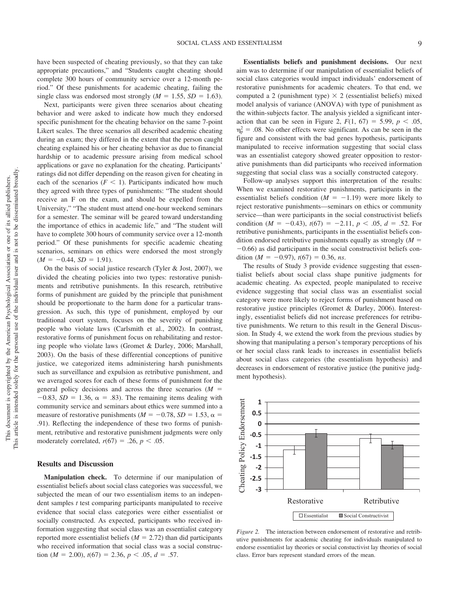have been suspected of cheating previously, so that they can take appropriate precautions," and "Students caught cheating should complete 300 hours of community service over a 12-month period." Of these punishments for academic cheating, failing the single class was endorsed most strongly  $(M = 1.55, SD = 1.63)$ .

Next, participants were given three scenarios about cheating behavior and were asked to indicate how much they endorsed specific punishment for the cheating behavior on the same 7-point Likert scales. The three scenarios all described academic cheating during an exam; they differed in the extent that the person caught cheating explained his or her cheating behavior as due to financial hardship or to academic pressure arising from medical school applications or gave no explanation for the cheating. Participants' ratings did not differ depending on the reason given for cheating in each of the scenarios  $(F < 1)$ . Participants indicated how much they agreed with three types of punishments: "The student should receive an F on the exam, and should be expelled from the University," "The student must attend one-hour weekend seminars for a semester. The seminar will be geared toward understanding the importance of ethics in academic life," and "The student will have to complete 300 hours of community service over a 12-month period." Of these punishments for specific academic cheating scenarios, seminars on ethics were endorsed the most strongly  $(M = -0.44, SD = 1.91).$ 

On the basis of social justice research (Tyler & Jost, 2007), we divided the cheating policies into two types: restorative punishments and retributive punishments. In this research, retributive forms of punishment are guided by the principle that punishment should be proportionate to the harm done for a particular transgression. As such, this type of punishment, employed by our traditional court system, focuses on the severity of punishing people who violate laws (Carlsmith et al., 2002). In contrast, restorative forms of punishment focus on rehabilitating and restoring people who violate laws (Gromet & Darley, 2006; Marshall, 2003). On the basis of these differential conceptions of punitive justice, we categorized items administering harsh punishments such as surveillance and expulsion as retributive punishment, and we averaged scores for each of these forms of punishment for the general policy decisions and across the three scenarios (*M*  $-0.83$ ,  $SD = 1.36$ ,  $\alpha = .83$ ). The remaining items dealing with community service and seminars about ethics were summed into a measure of restorative punishments ( $M = -0.78$ ,  $SD = 1.53$ ,  $\alpha =$ .91). Reflecting the independence of these two forms of punishment, retributive and restorative punishment judgments were only moderately correlated,  $r(67) = .26$ ,  $p < .05$ .

#### **Results and Discussion**

**Manipulation check.** To determine if our manipulation of essentialist beliefs about social class categories was successful, we subjected the mean of our two essentialism items to an independent samples *t* test comparing participants manipulated to receive evidence that social class categories were either essentialist or socially constructed. As expected, participants who received information suggesting that social class was an essentialist category reported more essentialist beliefs  $(M = 2.72)$  than did participants who received information that social class was a social construction ( $M = 2.00$ ),  $t(67) = 2.36$ ,  $p < .05$ ,  $d = .57$ .

**Essentialists beliefs and punishment decisions.** Our next aim was to determine if our manipulation of essentialist beliefs of social class categories would impact individuals' endorsement of restorative punishments for academic cheaters. To that end, we computed a 2 (punishment type)  $\times$  2 (essentialist beliefs) mixed model analysis of variance (ANOVA) with type of punishment as the within-subjects factor. The analysis yielded a significant interaction that can be seen in Figure 2,  $F(1, 67) = 5.99$ ,  $p < .05$ ,  $\eta_{\rm p}^2$  = .08. No other effects were significant. As can be seen in the figure and consistent with the bad genes hypothesis, participants manipulated to receive information suggesting that social class was an essentialist category showed greater opposition to restorative punishments than did participants who received information suggesting that social class was a socially constructed category.

Follow-up analyses support this interpretation of the results: When we examined restorative punishments, participants in the essentialist beliefs condition  $(M = -1.19)$  were more likely to reject restorative punishments—seminars on ethics or community service—than were participants in the social constructivist beliefs condition  $(M = -0.43)$ ,  $t(67) = -2.11$ ,  $p < .05$ ,  $d = .52$ . For retributive punishments, participants in the essentialist beliefs condition endorsed retributive punishments equally as strongly (*M*  $-0.66$ ) as did participants in the social constructivist beliefs condition ( $M = -0.97$ ),  $t(67) = 0.36$ , *ns*.

The results of Study 3 provide evidence suggesting that essentialist beliefs about social class shape punitive judgments for academic cheating. As expected, people manipulated to receive evidence suggesting that social class was an essentialist social category were more likely to reject forms of punishment based on restorative justice principles (Gromet & Darley, 2006). Interestingly, essentialist beliefs did not increase preferences for retributive punishments. We return to this result in the General Discussion. In Study 4, we extend the work from the previous studies by showing that manipulating a person's temporary perceptions of his or her social class rank leads to increases in essentialist beliefs about social class categories (the essentialism hypothesis) and decreases in endorsement of restorative justice (the punitive judgment hypothesis).



*Figure 2.* The interaction between endorsement of restorative and retributive punishments for academic cheating for individuals manipulated to endorse essentialist lay theories or social constuctivist lay theories of social class. Error bars represent standard errors of the mean.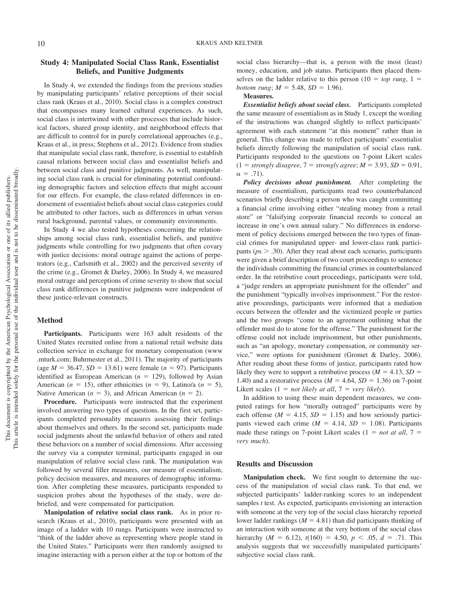#### **Study 4: Manipulated Social Class Rank, Essentialist Beliefs, and Punitive Judgments**

In Study 4, we extended the findings from the previous studies by manipulating participants' relative perceptions of their social class rank (Kraus et al., 2010). Social class is a complex construct that encompasses many learned cultural experiences. As such, social class is intertwined with other processes that include historical factors, shared group identity, and neighborhood effects that are difficult to control for in purely correlational approaches (e.g., Kraus et al., in press; Stephens et al., 2012). Evidence from studies that manipulate social class rank, therefore, is essential to establish causal relations between social class and essentialist beliefs and between social class and punitive judgments. As well, manipulating social class rank is crucial for eliminating potential confounding demographic factors and selection effects that might account for our effects. For example, the class-related differences in endorsement of essentialist beliefs about social class categories could be attributed to other factors, such as differences in urban versus rural background, parental values, or community environments.

In Study 4 we also tested hypotheses concerning the relationships among social class rank, essentialist beliefs, and punitive judgments while controlling for two judgments that often covary with justice decisions: moral outrage against the actions of perpetrators (e.g., Carlsmith et al., 2002) and the perceived severity of the crime (e.g., Gromet & Darley, 2006). In Study 4, we measured moral outrage and perceptions of crime severity to show that social class rank differences in punitive judgments were independent of these justice-relevant constructs.

#### **Method**

**Participants.** Participants were 163 adult residents of the United States recruited online from a national retail website data collection service in exchange for monetary compensation (www .mturk.com; Buhrmester et al., 2011). The majority of participants (age  $M = 36.47$ ,  $SD = 13.61$ ) were female ( $n = 97$ ). Participants identified as European American ( $n = 129$ ), followed by Asian American ( $n = 15$ ), other ethnicities ( $n = 9$ ), Latino/a ( $n = 5$ ), Native American ( $n = 3$ ), and African American ( $n = 2$ ).

**Procedure.** Participants were instructed that the experiment involved answering two types of questions. In the first set, participants completed personality measures assessing their feelings about themselves and others. In the second set, participants made social judgments about the unlawful behavior of others and rated these behaviors on a number of social dimensions. After accessing the survey via a computer terminal, participants engaged in our manipulation of relative social class rank. The manipulation was followed by several filler measures, our measure of essentialism, policy decision measures, and measures of demographic information. After completing these measures, participants responded to suspicion probes about the hypotheses of the study, were debriefed, and were compensated for participation.

**Manipulation of relative social class rank.** As in prior research (Kraus et al., 2010), participants were presented with an image of a ladder with 10 rungs. Participants were instructed to "think of the ladder above as representing where people stand in the United States." Participants were then randomly assigned to imagine interacting with a person either at the top or bottom of the social class hierarchy—that is, a person with the most (least) money, education, and job status. Participants then placed themselves on the ladder relative to this person ( $10 = top rung$ ,  $1 =$ *bottom rung*;  $M = 5.48$ ,  $SD = 1.96$ .

#### **Measures.**

*Essentialist beliefs about social class.* Participants completed the same measure of essentialism as in Study 1, except the wording of the instructions was changed slightly to reflect participants' agreement with each statement "at this moment" rather than in general. This change was made to reflect participants' essentialist beliefs directly following the manipulation of social class rank. Participants responded to the questions on 7-point Likert scales  $(1 = strongly disagree, 7 = strongly agree; M = 3.93, SD = 0.91,$  $\alpha = .71$ ).

*Policy decisions about punishment.* After completing the measure of essentialism, participants read two counterbalanced scenarios briefly describing a person who was caught committing a financial crime involving either "stealing money from a retail store" or "falsifying corporate financial records to conceal an increase in one's own annual salary." No differences in endorsement of policy decisions emerged between the two types of financial crimes for manipulated upper- and lower-class rank participants ( $ps$   $>$  .30). After they read about each scenario, participants were given a brief description of two court proceedings to sentence the individuals committing the financial crimes in counterbalanced order. In the retributive court proceedings, participants were told, a "judge renders an appropriate punishment for the offender" and the punishment "typically involves imprisonment." For the restorative proceedings, participants were informed that a mediation occurs between the offender and the victimized people or parties and the two groups "come to an agreement outlining what the offender must do to atone for the offense." The punishment for the offense could not include imprisonment, but other punishments, such as "an apology, monetary compensation, or community service," were options for punishment (Gromet & Darley, 2006). After reading about these forms of justice, participants rated how likely they were to support a retributive process ( $M = 4.13$ ,  $SD =$ 1.40) and a restorative process ( $M = 4.64$ ,  $SD = 1.36$ ) on 7-point Likert scales  $(1 = not likely at all, 7 = very likely).$ 

In addition to using these main dependent measures, we computed ratings for how "morally outraged" participants were by each offense ( $M = 4.15$ ,  $SD = 1.15$ ) and how seriously participants viewed each crime  $(M = 4.14, SD = 1.08)$ . Participants made these ratings on 7-point Likert scales  $(1 = not at all, 7 = 1)$ *very much*).

#### **Results and Discussion**

**Manipulation check.** We first sought to determine the success of the manipulation of social class rank. To that end, we subjected participants' ladder-ranking scores to an independent samples *t* test. As expected, participants envisioning an interaction with someone at the very top of the social class hierarchy reported lower ladder rankings ( $M = 4.81$ ) than did participants thinking of an interaction with someone at the very bottom of the social class hierarchy ( $M = 6.12$ ),  $t(160) = 4.50$ ,  $p < .05$ ,  $d = .71$ . This analysis suggests that we successfully manipulated participants' subjective social class rank.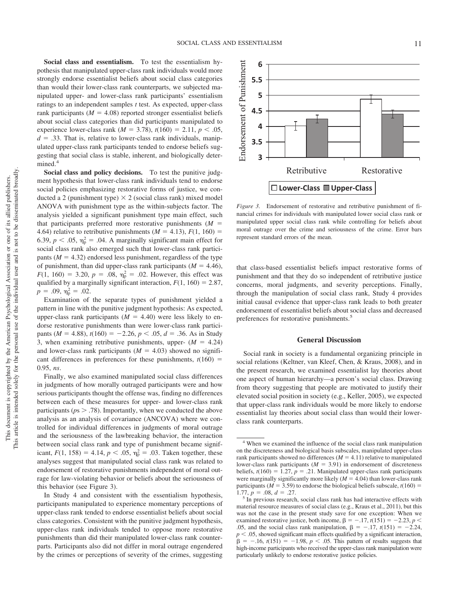**Social class and essentialism.** To test the essentialism hypothesis that manipulated upper-class rank individuals would more strongly endorse essentialist beliefs about social class categories than would their lower-class rank counterparts, we subjected manipulated upper- and lower-class rank participants' essentialism ratings to an independent samples *t* test. As expected, upper-class rank participants ( $M = 4.08$ ) reported stronger essentialist beliefs about social class categories than did participants manipulated to experience lower-class rank ( $M = 3.78$ ),  $t(160) = 2.11$ ,  $p < .05$ ,  $d = .33$ . That is, relative to lower-class rank individuals, manipulated upper-class rank participants tended to endorse beliefs suggesting that social class is stable, inherent, and biologically determined.<sup>4</sup>

**Social class and policy decisions.** To test the punitive judgment hypothesis that lower-class rank individuals tend to endorse social policies emphasizing restorative forms of justice, we conducted a 2 (punishment type)  $\times$  2 (social class rank) mixed model ANOVA with punishment type as the within-subjects factor. The analysis yielded a significant punishment type main effect, such that participants preferred more restorative punishments (*M* 4.64) relative to retributive punishments  $(M = 4.13)$ ,  $F(1, 160) =$ 6.39,  $p < .05$ ,  $\eta_p^2 = .04$ . A marginally significant main effect for social class rank also emerged such that lower-class rank participants  $(M = 4.32)$  endorsed less punishment, regardless of the type of punishment, than did upper-class rank participants  $(M = 4.46)$ ,  $F(1, 160) = 3.20, p = .08, \eta_p^2 = .02$ . However, this effect was qualified by a marginally significant interaction,  $F(1, 160) = 2.87$ ,  $p = .09, \eta_{\rm p}^2 = .02.$ 

Examination of the separate types of punishment yielded a pattern in line with the punitive judgment hypothesis: As expected, upper-class rank participants  $(M = 4.40)$  were less likely to endorse restorative punishments than were lower-class rank participants ( $M = 4.88$ ),  $t(160) = -2.26$ ,  $p < .05$ ,  $d = .36$ . As in Study 3, when examining retributive punishments, upper-  $(M = 4.24)$ and lower-class rank participants ( $M = 4.03$ ) showed no significant differences in preferences for these punishments,  $t(160)$  = 0.95, *ns*.

Finally, we also examined manipulated social class differences in judgments of how morally outraged participants were and how serious participants thought the offense was, finding no differences between each of these measures for upper- and lower-class rank participants ( $p_s$   $>$  .78). Importantly, when we conducted the above analysis as an analysis of covariance (ANCOVA) where we controlled for individual differences in judgments of moral outrage and the seriousness of the lawbreaking behavior, the interaction between social class rank and type of punishment became significant,  $F(1, 158) = 4.14$ ,  $p < .05$ ,  $\eta_p^2 = .03$ . Taken together, these analyses suggest that manipulated social class rank was related to endorsement of restorative punishments independent of moral outrage for law-violating behavior or beliefs about the seriousness of this behavior (see Figure 3).

In Study 4 and consistent with the essentialism hypothesis, participants manipulated to experience momentary perceptions of upper-class rank tended to endorse essentialist beliefs about social class categories. Consistent with the punitive judgment hypothesis, upper-class rank individuals tended to oppose more restorative punishments than did their manipulated lower-class rank counterparts. Participants also did not differ in moral outrage engendered by the crimes or perceptions of severity of the crimes, suggesting



*Figure 3.* Endorsement of restorative and retributive punishment of financial crimes for individuals with manipulated lower social class rank or manipulated upper social class rank while controlling for beliefs about moral outrage over the crime and seriousness of the crime. Error bars represent standard errors of the mean.

that class-based essentialist beliefs impact restorative forms of punishment and that they do so independent of retributive justice concerns, moral judgments, and severity perceptions. Finally, through the manipulation of social class rank, Study 4 provides initial causal evidence that upper-class rank leads to both greater endorsement of essentialist beliefs about social class and decreased preferences for restorative punishments.<sup>5</sup>

#### **General Discussion**

Social rank in society is a fundamental organizing principle in social relations (Keltner, van Kleef, Chen, & Kraus, 2008), and in the present research, we examined essentialist lay theories about one aspect of human hierarchy—a person's social class. Drawing from theory suggesting that people are motivated to justify their elevated social position in society (e.g., Keller, 2005), we expected that upper-class rank individuals would be more likely to endorse essentialist lay theories about social class than would their lowerclass rank counterparts.

<sup>4</sup> When we examined the influence of the social class rank manipulation on the discreteness and biological basis subscales, manipulated upper-class rank participants showed no differences  $(M = 4.11)$  relative to manipulated lower-class rank participants  $(M = 3.91)$  in endorsement of discreteness beliefs,  $t(160) = 1.27$ ,  $p = .21$ . Manipulated upper-class rank participants were marginally significantly more likely  $(M = 4.04)$  than lower-class rank participants ( $M = 3.59$ ) to endorse the biological beliefs subscale,  $t(160) =$ 

<sup>1.77,</sup>  $p = .08$ ,  $d = .27$ .<br><sup>5</sup> In previous research, social class rank has had interactive effects with material resource measures of social class (e.g., Kraus et al., 2011), but this was not the case in the present study save for one exception: When we examined restorative justice, both income,  $\beta = -.17$ ,  $t(151) = -2.23$ ,  $p <$ .05, and the social class rank manipulation,  $\beta = -17$ ,  $t(151) = -2.24$ ,  $p < .05$ , showed significant main effects qualified by a significant interaction,  $\beta = -16$ ,  $t(151) = -1.98$ ,  $p < .05$ . This pattern of results suggests that high-income participants who received the upper-class rank manipulation were particularly unlikely to endorse restorative justice policies.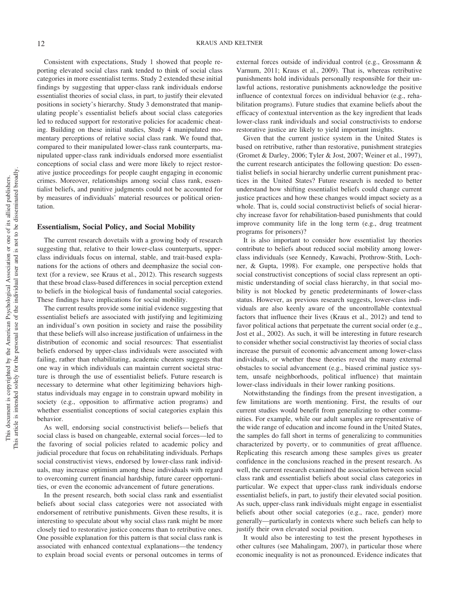Consistent with expectations, Study 1 showed that people reporting elevated social class rank tended to think of social class categories in more essentialist terms. Study 2 extended these initial findings by suggesting that upper-class rank individuals endorse essentialist theories of social class, in part, to justify their elevated positions in society's hierarchy. Study 3 demonstrated that manipulating people's essentialist beliefs about social class categories led to reduced support for restorative policies for academic cheating. Building on these initial studies, Study 4 manipulated momentary perceptions of relative social class rank. We found that, compared to their manipulated lower-class rank counterparts, manipulated upper-class rank individuals endorsed more essentialist conceptions of social class and were more likely to reject restorative justice proceedings for people caught engaging in economic crimes. Moreover, relationships among social class rank, essentialist beliefs, and punitive judgments could not be accounted for by measures of individuals' material resources or political orientation.

#### **Essentialism, Social Policy, and Social Mobility**

The current research dovetails with a growing body of research suggesting that, relative to their lower-class counterparts, upperclass individuals focus on internal, stable, and trait-based explanations for the actions of others and deemphasize the social context (for a review, see Kraus et al., 2012). This research suggests that these broad class-based differences in social perception extend to beliefs in the biological basis of fundamental social categories. These findings have implications for social mobility.

The current results provide some initial evidence suggesting that essentialist beliefs are associated with justifying and legitimizing an individual's own position in society and raise the possibility that these beliefs will also increase justification of unfairness in the distribution of economic and social resources: That essentialist beliefs endorsed by upper-class individuals were associated with failing, rather than rehabilitating, academic cheaters suggests that one way in which individuals can maintain current societal structure is through the use of essentialist beliefs. Future research is necessary to determine what other legitimizing behaviors highstatus individuals may engage in to constrain upward mobility in society (e.g., opposition to affirmative action programs) and whether essentialist conceptions of social categories explain this behavior.

As well, endorsing social constructivist beliefs— beliefs that social class is based on changeable, external social forces—led to the favoring of social policies related to academic policy and judicial procedure that focus on rehabilitating individuals. Perhaps social constructivist views, endorsed by lower-class rank individuals, may increase optimism among these individuals with regard to overcoming current financial hardship, future career opportunities, or even the economic advancement of future generations.

In the present research, both social class rank and essentialist beliefs about social class categories were not associated with endorsement of retributive punishments. Given these results, it is interesting to speculate about why social class rank might be more closely tied to restorative justice concerns than to retributive ones. One possible explanation for this pattern is that social class rank is associated with enhanced contextual explanations—the tendency to explain broad social events or personal outcomes in terms of external forces outside of individual control (e.g., Grossmann & Varnum, 2011; Kraus et al., 2009). That is, whereas retributive punishments hold individuals personally responsible for their unlawful actions, restorative punishments acknowledge the positive influence of contextual forces on individual behavior (e.g., rehabilitation programs). Future studies that examine beliefs about the efficacy of contextual intervention as the key ingredient that leads lower-class rank individuals and social constructivists to endorse restorative justice are likely to yield important insights.

Given that the current justice system in the United States is based on retributive, rather than restorative, punishment strategies (Gromet & Darley, 2006; Tyler & Jost, 2007; Weiner et al., 1997), the current research anticipates the following question: Do essentialist beliefs in social hierarchy underlie current punishment practices in the United States? Future research is needed to better understand how shifting essentialist beliefs could change current justice practices and how these changes would impact society as a whole. That is, could social constructivist beliefs of social hierarchy increase favor for rehabilitation-based punishments that could improve community life in the long term (e.g., drug treatment programs for prisoners)?

It is also important to consider how essentialist lay theories contribute to beliefs about reduced social mobility among lowerclass individuals (see Kennedy, Kawachi, Prothrow-Stith, Lochner, & Gupta, 1998). For example, one perspective holds that social constructivist conceptions of social class represent an optimistic understanding of social class hierarchy, in that social mobility is not blocked by genetic predeterminants of lower-class status. However, as previous research suggests, lower-class individuals are also keenly aware of the uncontrollable contextual factors that influence their lives (Kraus et al., 2012) and tend to favor political actions that perpetuate the current social order (e.g., Jost et al., 2002). As such, it will be interesting in future research to consider whether social constructivist lay theories of social class increase the pursuit of economic advancement among lower-class individuals, or whether these theories reveal the many external obstacles to social advancement (e.g., biased criminal justice system, unsafe neighborhoods, political influence) that maintain lower-class individuals in their lower ranking positions.

Notwithstanding the findings from the present investigation, a few limitations are worth mentioning. First, the results of our current studies would benefit from generalizing to other communities. For example, while our adult samples are representative of the wide range of education and income found in the United States, the samples do fall short in terms of generalizing to communities characterized by poverty, or to communities of great affluence. Replicating this research among these samples gives us greater confidence in the conclusions reached in the present research. As well, the current research examined the association between social class rank and essentialist beliefs about social class categories in particular. We expect that upper-class rank individuals endorse essentialist beliefs, in part, to justify their elevated social position. As such, upper-class rank individuals might engage in essentialist beliefs about other social categories (e.g., race, gender) more generally—particularly in contexts where such beliefs can help to justify their own elevated social position.

It would also be interesting to test the present hypotheses in other cultures (see Mahalingam, 2007), in particular those where economic inequality is not as pronounced. Evidence indicates that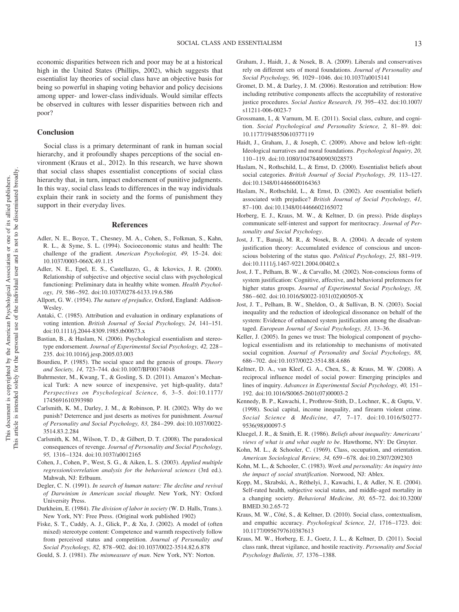economic disparities between rich and poor may be at a historical high in the United States (Phillips, 2002), which suggests that essentialist lay theories of social class have an objective basis for being so powerful in shaping voting behavior and policy decisions among upper- and lower-class individuals. Would similar effects be observed in cultures with lesser disparities between rich and poor?

#### **Conclusion**

Social class is a primary determinant of rank in human social hierarchy, and it profoundly shapes perceptions of the social environment (Kraus et al., 2012). In this research, we have shown that social class shapes essentialist conceptions of social class hierarchy that, in turn, impact endorsement of punitive judgments. In this way, social class leads to differences in the way individuals explain their rank in society and the forms of punishment they support in their everyday lives.

#### **References**

- Adler, N. E., Boyce, T., Chesney, M. A., Cohen, S., Folkman, S., Kahn, R. L., & Syme, S. L. (1994). Socioeconomic status and health: The challenge of the gradient. *American Psychologist, 49,* 15–24. doi: 10.1037/0003-066X.49.1.15
- Adler, N. E., Epel, E. S., Castellazzo, G., & Ickovics, J. R. (2000). Relationship of subjective and objective social class with psychological functioning: Preliminary data in healthy white women. *Health Psychology, 19,* 586 –592. doi:10.1037/0278-6133.19.6.586
- Allport, G. W. (1954). *The nature of prejudice,* Oxford, England: Addison-Wesley
- Antaki, C. (1985). Attribution and evaluation in ordinary explanations of voting intention. *British Journal of Social Psychology, 24,* 141–151. doi:10.1111/j.2044-8309.1985.tb00673.x
- Bastian, B., & Haslam, N. (2006). Psychological essentialism and stereotype endorsement. *Journal of Experimental Social Psychology, 42,* 228 – 235. doi:10.1016/j.jesp.2005.03.003
- Bourdieu, P. (1985). The social space and the genesis of groups. *Theory and Society, 14,* 723–744. doi:10.1007/BF00174048
- Buhrmester, M., Kwang, T., & Gosling, S. D. (2011). Amazon's Mechanical Turk: A new source of inexpensive, yet high-quality, data? *Perspectives on Psychological Science, 6,* 3–5. doi:10.1177/ 1745691610393980
- Carlsmith, K. M., Darley, J. M., & Robinson, P. H. (2002). Why do we punish? Deterrence and just deserts as motives for punishment. *Journal of Personality and Social Psychology, 83,* 284 –299. doi:10.1037/0022- 3514.83.2.284
- Carlsmith, K. M., Wilson, T. D., & Gilbert, D. T. (2008). The paradoxical consequences of revenge. *Journal of Personality and Social Psychology, 95,* 1316 –1324. doi:10.1037/a0012165
- Cohen, J., Cohen, P., West, S. G., & Aiken, L. S. (2003). *Applied multiple regression/correlation analysis for the behavioral sciences* (3rd ed.). Mahwah, NJ: Erlbaum.
- Degler, C. N. (1991). *In search of human nature: The decline and revival of Darwinism in American social thought*. New York, NY: Oxford University Press.
- Durkheim, E. (1984). *The division of labor in society* (W. D. Halls, Trans.). New York, NY: Free Press. (Original work published 1902)
- Fiske, S. T., Cuddy, A. J., Glick, P., & Xu, J. (2002). A model of (often mixed) stereotype content: Competence and warmth respectively follow from perceived status and competition. *Journal of Personality and Social Psychology, 82,* 878 –902. doi:10.1037/0022-3514.82.6.878
- Gould, S. J. (1981). *The mismeasure of man*. New York, NY: Norton.
- Graham, J., Haidt, J., & Nosek, B. A. (2009). Liberals and conservatives rely on different sets of moral foundations. *Journal of Personality and Social Psychology, 96,* 1029 –1046. doi:10.1037/a0015141
- Gromet, D. M., & Darley, J. M. (2006). Restoration and retribution: How including retributive components affects the acceptability of restorative justice procedures. *Social Justice Research*, 19, 395–432. doi:10.1007/ s11211-006-0023-7
- Grossmann, I., & Varnum, M. E. (2011). Social class, culture, and cognition. *Social Psychological and Personality Science*, 2, 81-89. doi: 10.1177/1948550610377119
- Haidt, J., Graham, J., & Joseph, C. (2009). Above and below left–right: Ideological narratives and moral foundations. *Psychological Inquiry, 20,* 110 –119. doi:10.1080/10478400903028573
- Haslam, N., Rothschild, L., & Ernst, D. (2000). Essentialist beliefs about social categories. *British Journal of Social Psychology, 39,* 113–127. doi:10.1348/014466600164363
- Haslam, N., Rothschild, L., & Ernst, D. (2002). Are essentialist beliefs associated with prejudice? *British Journal of Social Psychology, 41,* 87–100. doi:10.1348/014466602165072
- Horberg, E. J., Kraus, M. W., & Keltner, D. (in press). Pride displays communicate self-interest and support for meritocracy. *Journal of Personality and Social Psychology*.
- Jost, J. T., Banaji, M. R., & Nosek, B. A. (2004). A decade of system justification theory: Accumulated evidence of conscious and unconscious bolstering of the status quo. *Political Psychology, 25,* 881–919. doi:10.1111/j.1467-9221.2004.00402.x
- Jost, J. T., Pelham, B. W., & Carvallo, M. (2002). Non-conscious forms of system justification: Cognitive, affective, and behavioral preferences for higher status groups. *Journal of Experimental Social Psychology, 38,* 586 – 602. doi:10.1016/S0022-1031(02)00505-X
- Jost, J. T., Pelham, B. W., Sheldon, O., & Sullivan, B. N. (2003). Social inequality and the reduction of ideological dissonance on behalf of the system: Evidence of enhanced system justification among the disadvantaged. *European Journal of Social Psychology, 33,* 13–36.
- Keller, J. (2005). In genes we trust: The biological component of psychological essentialism and its relationship to mechanisms of motivated social cognition. *Journal of Personality and Social Psychology, 88,* 686 –702. doi:10.1037/0022-3514.88.4.686
- Keltner, D. A., van Kleef, G. A., Chen, S., & Kraus, M. W. (2008). A reciprocal influence model of social power: Emerging principles and lines of inquiry. *Advances in Experimental Social Psychology, 40,* 151– 192. doi:10.1016/S0065-2601(07)00003-2
- Kennedy, B. P., Kawachi, I., Prothrow-Stith, D., Lochner, K., & Gupta, V. (1998). Social capital, income inequality, and firearm violent crime. *Social Science & Medicine, 47,* 7–17. doi:10.1016/S0277- 9536(98)00097-5
- Kluegel, J. R., & Smith, E. R. (1986). *Beliefs about inequality: Americans' views of what is and what ought to be*. Hawthorne, NY: De Gruyter.
- Kohn, M. L., & Schooler, C. (1969). Class, occupation, and orientation. *American Sociological Review, 34,* 659 – 678. doi:10.2307/2092303
- Kohn, M. L., & Schooler, C. (1983). *Work and personality: An inquiry into the impact of social stratification*. Norwood, NJ: Ablex.
- Kopp, M., Skrabski, A., Réthelyi, J., Kawachi, I., & Adler, N. E. (2004). Self-rated health, subjective social status, and middle-aged mortality in a changing society. *Behavioral Medicine, 30,* 65–72. doi:10.3200/ BMED.30.2.65-72
- Kraus, M. W., Côté, S., & Keltner, D. (2010). Social class, contextualism, and empathic accuracy. *Psychological Science, 21,* 1716 –1723. doi: 10.1177/0956797610387613
- Kraus, M. W., Horberg, E. J., Goetz, J. L., & Keltner, D. (2011). Social class rank, threat vigilance, and hostile reactivity. *Personality and Social Psychology Bulletin, 37,* 1376 –1388.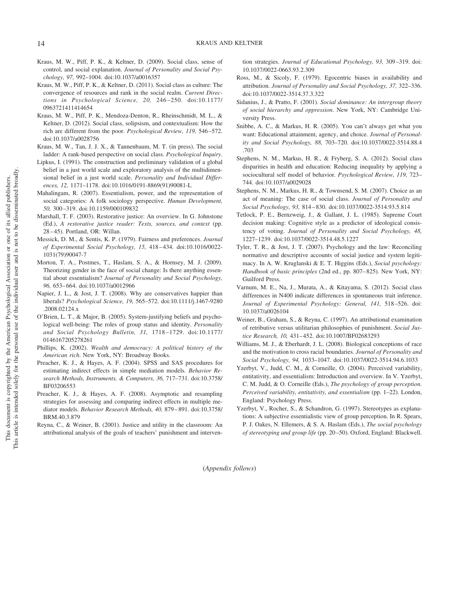- Kraus, M. W., Piff, P. K., & Keltner, D. (2009). Social class, sense of control, and social explanation. *Journal of Personality and Social Psychology, 97,* 992–1004. doi:10.1037/a0016357
- Kraus, M. W., Piff, P. K., & Keltner, D. (2011). Social class as culture: The convergence of resources and rank in the social realm. *Current Directions in Psychological Science, 20,* 246 –250. doi:10.1177/ 0963721411414654
- Kraus, M. W., Piff, P. K., Mendoza-Denton, R., Rheinschmidt, M. L., & Keltner, D. (2012). Social class, solipsism, and contextualism: How the rich are different from the poor. *Psychological Review, 119,* 546 –572. doi:10.1037/a0028756
- Kraus, M. W., Tan, J. J. X., & Tannenbaum, M. T. (in press). The social ladder: A rank-based perspective on social class. *Psychological Inquiry*.
- Lipkus, I. (1991). The construction and preliminary validation of a global belief in a just world scale and exploratory analysis of the multidimensional belief in a just world scale. *Personality and Individual Differences, 12,* 1171–1178. doi:10.1016/0191-8869(91)90081-L
- Mahalingam, R. (2007). Essentialism, power, and the representation of social categories: A folk sociology perspective. *Human Development, 50,* 300 –319. doi:10.1159/000109832
- Marshall, T. F. (2003). Restorative justice: An overview. In G. Johnstone (Ed.), *A restorative justice reader: Texts, sources, and context* (pp. 28 – 45). Portland, OR: Willan.
- Messick, D. M., & Sentis, K. P. (1979). Fairness and preferences. *Journal of Experimental Social Psychology, 15,* 418 – 434. doi:10.1016/0022- 1031(79)90047-7
- Morton, T. A., Postmes, T., Haslam, S. A., & Hornsey, M. J. (2009). Theorizing gender in the face of social change: Is there anything essential about essentialism? *Journal of Personality and Social Psychology, 96,* 653– 664. doi:10.1037/a0012966
- Napier, J. L., & Jost, J. T. (2008). Why are conservatives happier than liberals? *Psychological Science, 19,* 565–572. doi:10.1111/j.1467-9280 .2008.02124.x
- O'Brien, L. T., & Major, B. (2005). System-justifying beliefs and psychological well-being: The roles of group status and identity. *Personality and Social Psychology Bulletin, 31,* 1718 –1729. doi:10.1177/ 0146167205278261
- Phillips, K. (2002). *Wealth and democracy: A political history of the American rich*. New York, NY: Broadway Books.
- Preacher, K. J., & Hayes, A. F. (2004). SPSS and SAS procedures for estimating indirect effects in simple mediation models. *Behavior Research Methods, Instruments, & Computers, 36,* 717–731. doi:10.3758/ BF03206553
- Preacher, K. J., & Hayes, A. F. (2008). Asymptotic and resampling strategies for assessing and comparing indirect effects in multiple mediator models. *Behavior Research Methods, 40,* 879 – 891. doi:10.3758/ BRM.40.3.879
- Reyna, C., & Weiner, B. (2001). Justice and utility in the classroom: An attributional analysis of the goals of teachers' punishment and interven-

tion strategies. *Journal of Educational Psychology, 93,* 309 –319. doi: 10.1037/0022-0663.93.2.309

- Ross, M., & Sicoly, F. (1979). Egocentric biases in availability and attribution. *Journal of Personality and Social Psychology, 37,* 322–336. doi:10.1037/0022-3514.37.3.322
- Sidanius, J., & Pratto, F. (2001). *Social dominance: An intergroup theory of social hierarchy and oppression*. New York, NY: Cambridge University Press.
- Snibbe, A. C., & Markus, H. R. (2005). You can't always get what you want: Educational attainment, agency, and choice. *Journal of Personality and Social Psychology, 88,* 703–720. doi:10.1037/0022-3514.88.4 .703
- Stephens, N. M., Markus, H. R., & Fryberg, S. A. (2012). Social class disparities in health and education: Reducing inequality by applying a sociocultural self model of behavior. *Psychological Review, 119,* 723– 744. doi:10.1037/a0029028
- Stephens, N. M., Markus, H. R., & Townsend, S. M. (2007). Choice as an act of meaning: The case of social class. *Journal of Personality and Social Psychology, 93,* 814 – 830. doi:10.1037/0022-3514.93.5.814
- Tetlock, P. E., Bernzweig, J., & Gallant, J. L. (1985). Supreme Court decision making: Cognitive style as a predictor of ideological consistency of voting. *Journal of Personality and Social Psychology, 48,* 1227–1239. doi:10.1037/0022-3514.48.5.1227
- Tyler, T. R., & Jost, J. T. (2007). Psychology and the law: Reconciling normative and descriptive accounts of social justice and system legitimacy. In A. W. Kruglanski & E. T. Higgins (Eds.), *Social psychology: Handbook of basic principles* (2nd ed., pp. 807– 825). New York, NY: Guilford Press.
- Varnum, M. E., Na, J., Murata, A., & Kitayama, S. (2012). Social class differences in N400 indicate differences in spontaneous trait inference. Journal of Experimental Psychology: General, 141, 518-526. doi: 10.1037/a0026104
- Weiner, B., Graham, S., & Reyna, C. (1997). An attributional examination of retributive versus utilitarian philosophies of punishment. *Social Justice Research, 10,* 431– 452. doi:10.1007/BF02683293
- Williams, M. J., & Eberhardt, J. L. (2008). Biological conceptions of race and the motivation to cross racial boundaries. *Journal of Personality and Social Psychology, 94,* 1033–1047. doi:10.1037/0022-3514.94.6.1033
- Yzerbyt, V., Judd, C. M., & Corneille, O. (2004). Perceived variability, entitativity, and essentialism: Introduction and overview. In V. Yzerbyt, C. M. Judd, & O. Corneille (Eds.), *The psychology of group perception. Perceived variability, entitativity, and essentialism* (pp. 1–22). London, England: Psychology Press.
- Yzerbyt, V., Rocher, S., & Schandron, G. (1997). Stereotypes as explanations: A subjective essentialistic view of group perception. In R. Spears, P. J. Oakes, N. Ellemers, & S. A. Haslam (Eds.), *The social psychology of stereotyping and group life* (pp. 20 –50). Oxford, England: Blackwell.

(*Appendix follows*)